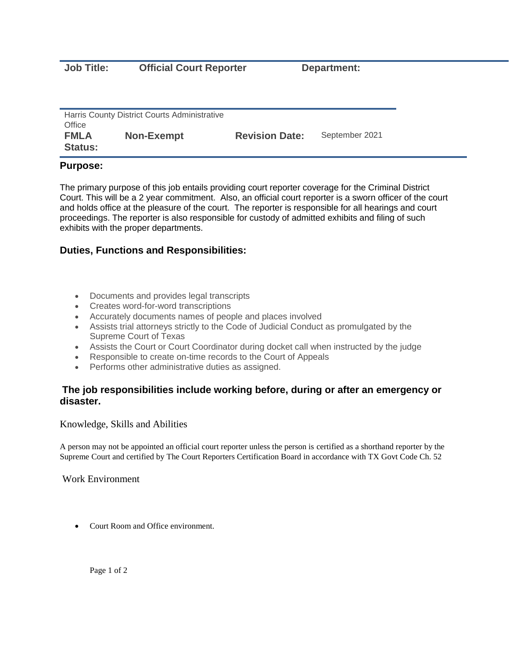**Job Title: Official Court Reporter Department:** 

| Harris County District Courts Administrative<br>Office |                   |                       |                |
|--------------------------------------------------------|-------------------|-----------------------|----------------|
| <b>FMLA</b><br><b>Status:</b>                          | <b>Non-Exempt</b> | <b>Revision Date:</b> | September 2021 |

## **Purpose:**

The primary purpose of this job entails providing court reporter coverage for the Criminal District Court. This will be a 2 year commitment. Also, an official court reporter is a sworn officer of the court and holds office at the pleasure of the court. The reporter is responsible for all hearings and court proceedings. The reporter is also responsible for custody of admitted exhibits and filing of such exhibits with the proper departments.

## **Duties, Functions and Responsibilities:**

- Documents and provides legal transcripts
- Creates word-for-word transcriptions
- Accurately documents names of people and places involved
- Assists trial attorneys strictly to the Code of Judicial Conduct as promulgated by the Supreme Court of Texas
- Assists the Court or Court Coordinator during docket call when instructed by the judge
- Responsible to create on-time records to the Court of Appeals
- Performs other administrative duties as assigned.

## **The job responsibilities include working before, during or after an emergency or disaster.**

Knowledge, Skills and Abilities

A person may not be appointed an official court reporter unless the person is certified as a shorthand reporter by the Supreme Court and certified by The Court Reporters Certification Board in accordance with TX Govt Code Ch. 52

Work Environment

• Court Room and Office environment.